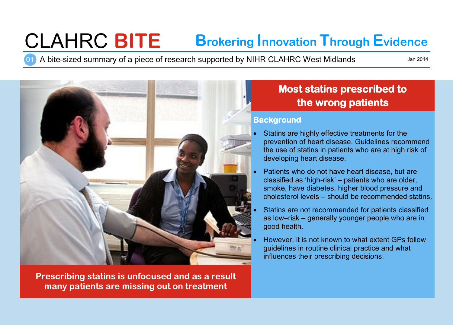# CLAHRC **BITE Brokering Innovation Through Evidence**

01 A bite-sized summary of a piece of research supported by NIHR CLAHRC West Midlands

Jan 2014



**Prescribing statins is unfocused and as a result many patients are missing out on treatment**

# **Most statins prescribed to the wrong patients**

#### **Background**

- Statins are highly effective treatments for the prevention of heart disease. Guidelines recommend the use of statins in patients who are at high risk of developing heart disease.
- Patients who do not have heart disease, but are classified as 'high-risk' – patients who are older, smoke, have diabetes, higher blood pressure and cholesterol levels – should be recommended statins.
- Statins are not recommended for patients classified as low–risk – generally younger people who are in good health.
- However, it is not known to what extent GPs follow guidelines in routine clinical practice and what influences their prescribing decisions.